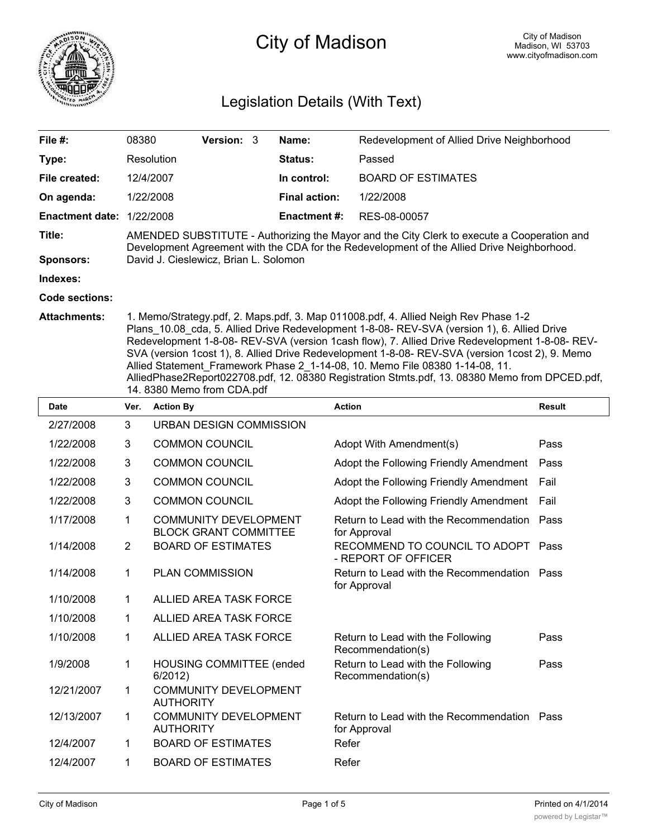

# City of Madison

## Legislation Details (With Text)

| File $#$ :             | 08380                                                                                                                                                                                                                                                                                                                                                                                                                                                                                                                                                                     | <b>Version: 3</b> |  | Name:                | Redevelopment of Allied Drive Neighborhood |
|------------------------|---------------------------------------------------------------------------------------------------------------------------------------------------------------------------------------------------------------------------------------------------------------------------------------------------------------------------------------------------------------------------------------------------------------------------------------------------------------------------------------------------------------------------------------------------------------------------|-------------------|--|----------------------|--------------------------------------------|
| Type:                  | Resolution                                                                                                                                                                                                                                                                                                                                                                                                                                                                                                                                                                |                   |  | <b>Status:</b>       | Passed                                     |
| File created:          | 12/4/2007                                                                                                                                                                                                                                                                                                                                                                                                                                                                                                                                                                 |                   |  | In control:          | <b>BOARD OF ESTIMATES</b>                  |
| On agenda:             | 1/22/2008                                                                                                                                                                                                                                                                                                                                                                                                                                                                                                                                                                 |                   |  | <b>Final action:</b> | 1/22/2008                                  |
| <b>Enactment date:</b> | 1/22/2008                                                                                                                                                                                                                                                                                                                                                                                                                                                                                                                                                                 |                   |  | <b>Enactment #:</b>  | RES-08-00057                               |
| Title:                 | AMENDED SUBSTITUTE - Authorizing the Mayor and the City Clerk to execute a Cooperation and<br>Development Agreement with the CDA for the Redevelopment of the Allied Drive Neighborhood.                                                                                                                                                                                                                                                                                                                                                                                  |                   |  |                      |                                            |
| <b>Sponsors:</b>       | David J. Cieslewicz, Brian L. Solomon                                                                                                                                                                                                                                                                                                                                                                                                                                                                                                                                     |                   |  |                      |                                            |
| Indexes:               |                                                                                                                                                                                                                                                                                                                                                                                                                                                                                                                                                                           |                   |  |                      |                                            |
| Code sections:         |                                                                                                                                                                                                                                                                                                                                                                                                                                                                                                                                                                           |                   |  |                      |                                            |
| <b>Attachments:</b>    | 1. Memo/Strategy.pdf, 2. Maps.pdf, 3. Map 011008.pdf, 4. Allied Neigh Rev Phase 1-2<br>Plans_10.08_cda, 5. Allied Drive Redevelopment 1-8-08- REV-SVA (version 1), 6. Allied Drive<br>Redevelopment 1-8-08- REV-SVA (version 1cash flow), 7. Allied Drive Redevelopment 1-8-08- REV-<br>SVA (version 1cost 1), 8. Allied Drive Redevelopment 1-8-08- REV-SVA (version 1cost 2), 9. Memo<br>Allied Statement Framework Phase 2 1-14-08, 10. Memo File 08380 1-14-08, 11.<br>AlliedPhase2Report022708.pdf, 12. 08380 Registration Stmts.pdf, 13. 08380 Memo from DPCED.pdf, |                   |  |                      |                                            |

14. 8380 Memo from CDA.pdf

| Date       | Ver.        | <b>Action By</b>                                             | <b>Action</b>                                             | <b>Result</b> |
|------------|-------------|--------------------------------------------------------------|-----------------------------------------------------------|---------------|
| 2/27/2008  | 3           | URBAN DESIGN COMMISSION                                      |                                                           |               |
| 1/22/2008  | 3           | <b>COMMON COUNCIL</b>                                        | Adopt With Amendment(s)                                   | Pass          |
| 1/22/2008  | 3           | <b>COMMON COUNCIL</b>                                        | Adopt the Following Friendly Amendment                    | Pass          |
| 1/22/2008  | 3           | <b>COMMON COUNCIL</b>                                        | Adopt the Following Friendly Amendment                    | Fail          |
| 1/22/2008  | 3           | <b>COMMON COUNCIL</b>                                        | Adopt the Following Friendly Amendment                    | Fail          |
| 1/17/2008  | 1           | <b>COMMUNITY DEVELOPMENT</b><br><b>BLOCK GRANT COMMITTEE</b> | Return to Lead with the Recommendation<br>for Approval    | Pass          |
| 1/14/2008  | 2           | <b>BOARD OF ESTIMATES</b>                                    | RECOMMEND TO COUNCIL TO ADOPT Pass<br>- REPORT OF OFFICER |               |
| 1/14/2008  | 1           | <b>PLAN COMMISSION</b>                                       | Return to Lead with the Recommendation<br>for Approval    | Pass          |
| 1/10/2008  | 1           | ALLIED AREA TASK FORCE                                       |                                                           |               |
| 1/10/2008  | 1           | ALLIED AREA TASK FORCE                                       |                                                           |               |
| 1/10/2008  | 1           | ALLIED AREA TASK FORCE                                       | Return to Lead with the Following<br>Recommendation(s)    | Pass          |
| 1/9/2008   | 1           | <b>HOUSING COMMITTEE (ended</b><br>6/2012                    | Return to Lead with the Following<br>Recommendation(s)    | Pass          |
| 12/21/2007 | $\mathbf 1$ | <b>COMMUNITY DEVELOPMENT</b><br><b>AUTHORITY</b>             |                                                           |               |
| 12/13/2007 | 1           | <b>COMMUNITY DEVELOPMENT</b><br><b>AUTHORITY</b>             | Return to Lead with the Recommendation<br>for Approval    | Pass          |
| 12/4/2007  | 1           | <b>BOARD OF ESTIMATES</b>                                    | Refer                                                     |               |
| 12/4/2007  | 1           | <b>BOARD OF ESTIMATES</b>                                    | Refer                                                     |               |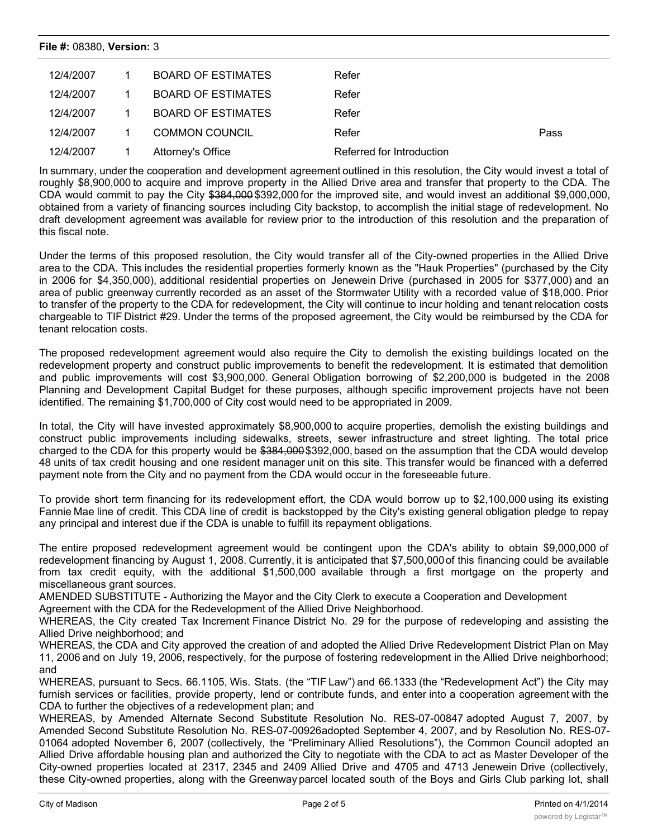#### **File #:** 08380, **Version:** 3

| 12/4/2007 | BOARD OF ESTIMATES    | Refer                     |      |
|-----------|-----------------------|---------------------------|------|
| 12/4/2007 | BOARD OF ESTIMATES    | Refer                     |      |
| 12/4/2007 | BOARD OF ESTIMATES    | Refer                     |      |
| 12/4/2007 | <b>COMMON COUNCIL</b> | Refer                     | Pass |
| 12/4/2007 | Attorney's Office     | Referred for Introduction |      |

In summary, under the cooperation and development agreement outlined in this resolution, the City would invest a total of roughly \$8,900,000 to acquire and improve property in the Allied Drive area and transfer that property to the CDA. The CDA would commit to pay the City \$384,000 \$392,000 for the improved site, and would invest an additional \$9,000,000, obtained from a variety of financing sources including City backstop, to accomplish the initial stage of redevelopment. No draft development agreement was available for review prior to the introduction of this resolution and the preparation of this fiscal note.

Under the terms of this proposed resolution, the City would transfer all of the City-owned properties in the Allied Drive area to the CDA. This includes the residential properties formerly known as the "Hauk Properties" (purchased by the City in 2006 for \$4,350,000), additional residential properties on Jenewein Drive (purchased in 2005 for \$377,000) and an area of public greenway currently recorded as an asset of the Stormwater Utility with a recorded value of \$18,000. Prior to transfer of the property to the CDA for redevelopment, the City will continue to incur holding and tenant relocation costs chargeable to TIF District #29. Under the terms of the proposed agreement, the City would be reimbursed by the CDA for tenant relocation costs.

The proposed redevelopment agreement would also require the City to demolish the existing buildings located on the redevelopment property and construct public improvements to benefit the redevelopment. It is estimated that demolition and public improvements will cost \$3,900,000. General Obligation borrowing of \$2,200,000 is budgeted in the 2008 Planning and Development Capital Budget for these purposes, although specific improvement projects have not been identified. The remaining \$1,700,000 of City cost would need to be appropriated in 2009.

In total, the City will have invested approximately \$8,900,000 to acquire properties, demolish the existing buildings and construct public improvements including sidewalks, streets, sewer infrastructure and street lighting. The total price charged to the CDA for this property would be \$384,000 \$392,000, based on the assumption that the CDA would develop 48 units of tax credit housing and one resident manager unit on this site. This transfer would be financed with a deferred payment note from the City and no payment from the CDA would occur in the foreseeable future.

To provide short term financing for its redevelopment effort, the CDA would borrow up to \$2,100,000 using its existing Fannie Mae line of credit. This CDA line of credit is backstopped by the City's existing general obligation pledge to repay any principal and interest due if the CDA is unable to fulfill its repayment obligations.

The entire proposed redevelopment agreement would be contingent upon the CDA's ability to obtain \$9,000,000 of redevelopment financing by August 1, 2008. Currently, it is anticipated that \$7,500,000of this financing could be available from tax credit equity, with the additional \$1,500,000 available through a first mortgage on the property and miscellaneous grant sources.

AMENDED SUBSTITUTE - Authorizing the Mayor and the City Clerk to execute a Cooperation and Development

Agreement with the CDA for the Redevelopment of the Allied Drive Neighborhood.

WHEREAS, the City created Tax Increment Finance District No. 29 for the purpose of redeveloping and assisting the Allied Drive neighborhood; and

WHEREAS, the CDA and City approved the creation of and adopted the Allied Drive Redevelopment District Plan on May 11, 2006 and on July 19, 2006, respectively, for the purpose of fostering redevelopment in the Allied Drive neighborhood; and

WHEREAS, pursuant to Secs. 66.1105, Wis. Stats. (the "TIF Law") and 66.1333 (the "Redevelopment Act") the City may furnish services or facilities, provide property, lend or contribute funds, and enter into a cooperation agreement with the CDA to further the objectives of a redevelopment plan; and

WHEREAS, by Amended Alternate Second Substitute Resolution No. RES-07-00847 adopted August 7, 2007, by Amended Second Substitute Resolution No. RES-07-00926adopted September 4, 2007, and by Resolution No. RES-07- 01064 adopted November 6, 2007 (collectively, the "Preliminary Allied Resolutions"), the Common Council adopted an Allied Drive affordable housing plan and authorized the City to negotiate with the CDA to act as Master Developer of the City-owned properties located at 2317, 2345 and 2409 Allied Drive and 4705 and 4713 Jenewein Drive (collectively, these City-owned properties, along with the Greenway parcel located south of the Boys and Girls Club parking lot, shall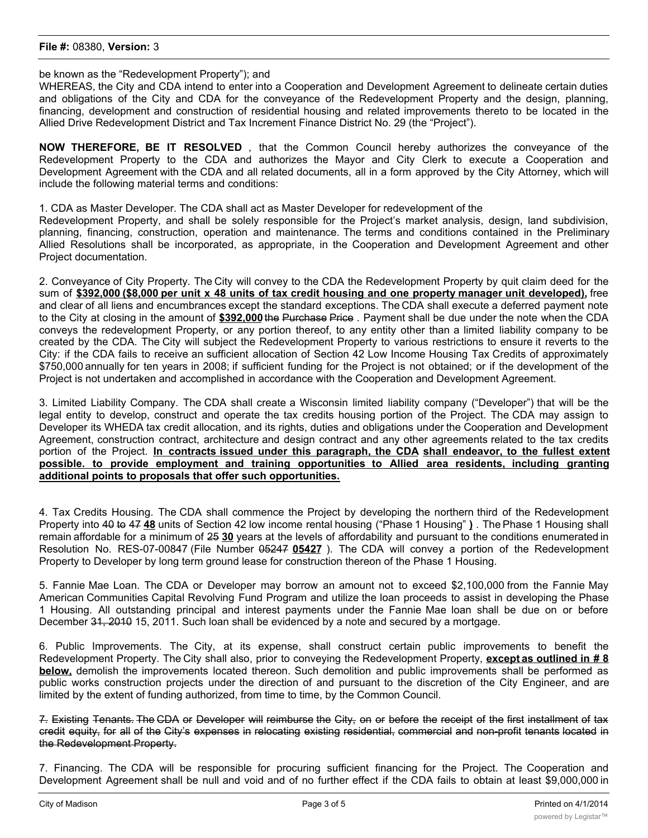be known as the "Redevelopment Property"); and

WHEREAS, the City and CDA intend to enter into a Cooperation and Development Agreement to delineate certain duties and obligations of the City and CDA for the conveyance of the Redevelopment Property and the design, planning, financing, development and construction of residential housing and related improvements thereto to be located in the Allied Drive Redevelopment District and Tax Increment Finance District No. 29 (the "Project").

**NOW THEREFORE, BE IT RESOLVED** , that the Common Council hereby authorizes the conveyance of the Redevelopment Property to the CDA and authorizes the Mayor and City Clerk to execute a Cooperation and Development Agreement with the CDA and all related documents, all in a form approved by the City Attorney, which will include the following material terms and conditions:

1. CDA as Master Developer. The CDA shall act as Master Developer for redevelopment of the

Redevelopment Property, and shall be solely responsible for the Project's market analysis, design, land subdivision, planning, financing, construction, operation and maintenance. The terms and conditions contained in the Preliminary Allied Resolutions shall be incorporated, as appropriate, in the Cooperation and Development Agreement and other Project documentation.

2. Conveyance of City Property. The City will convey to the CDA the Redevelopment Property by quit claim deed for the sum of \$392,000 (\$8,000 per unit x 48 units of tax credit housing and one property manager unit developed), free and clear of all liens and encumbrances except the standard exceptions. The CDA shall execute a deferred payment note to the City at closing in the amount of **\$392,000**the Purchase Price . Payment shall be due under the note when the CDA conveys the redevelopment Property, or any portion thereof, to any entity other than a limited liability company to be created by the CDA. The City will subject the Redevelopment Property to various restrictions to ensure it reverts to the City: if the CDA fails to receive an sufficient allocation of Section 42 Low Income Housing Tax Credits of approximately \$750,000 annually for ten years in 2008; if sufficient funding for the Project is not obtained; or if the development of the Project is not undertaken and accomplished in accordance with the Cooperation and Development Agreement.

3. Limited Liability Company. The CDA shall create a Wisconsin limited liability company ("Developer") that will be the legal entity to develop, construct and operate the tax credits housing portion of the Project. The CDA may assign to Developer its WHEDA tax credit allocation, and its rights, duties and obligations under the Cooperation and Development Agreement, construction contract, architecture and design contract and any other agreements related to the tax credits portion of the Project. **In contracts issued under this paragraph, the CDA shall endeavor, to the fullest extent possible. to provide employment and training opportunities to Allied area residents, including granting additional points to proposals that offer such opportunities.**

4. Tax Credits Housing. The CDA shall commence the Project by developing the northern third of the Redevelopment Property into 40 to 47 **48** units of Section 42 low income rental housing ("Phase 1 Housing" **)** . The Phase 1 Housing shall remain affordable for a minimum of 25 **30** years at the levels of affordability and pursuant to the conditions enumerated in Resolution No. RES-07-00847 (File Number 05247 **05427** ). The CDA will convey a portion of the Redevelopment Property to Developer by long term ground lease for construction thereon of the Phase 1 Housing.

5. Fannie Mae Loan. The CDA or Developer may borrow an amount not to exceed \$2,100,000 from the Fannie May American Communities Capital Revolving Fund Program and utilize the loan proceeds to assist in developing the Phase 1 Housing. All outstanding principal and interest payments under the Fannie Mae loan shall be due on or before December 31, 2010 15, 2011. Such loan shall be evidenced by a note and secured by a mortgage.

6. Public Improvements. The City, at its expense, shall construct certain public improvements to benefit the Redevelopment Property. The City shall also, prior to conveying the Redevelopment Property, **except as outlined in # 8 below,** demolish the improvements located thereon. Such demolition and public improvements shall be performed as public works construction projects under the direction of and pursuant to the discretion of the City Engineer, and are limited by the extent of funding authorized, from time to time, by the Common Council.

7. Existing Tenants. The CDA or Developer will reimburse the City, on or before the receipt of the first installment of tax credit equity, for all of the City's expenses in relocating existing residential, commercial and non-profit tenants located in the Redevelopment Property.

7. Financing. The CDA will be responsible for procuring sufficient financing for the Project. The Cooperation and Development Agreement shall be null and void and of no further effect if the CDA fails to obtain at least \$9,000,000 in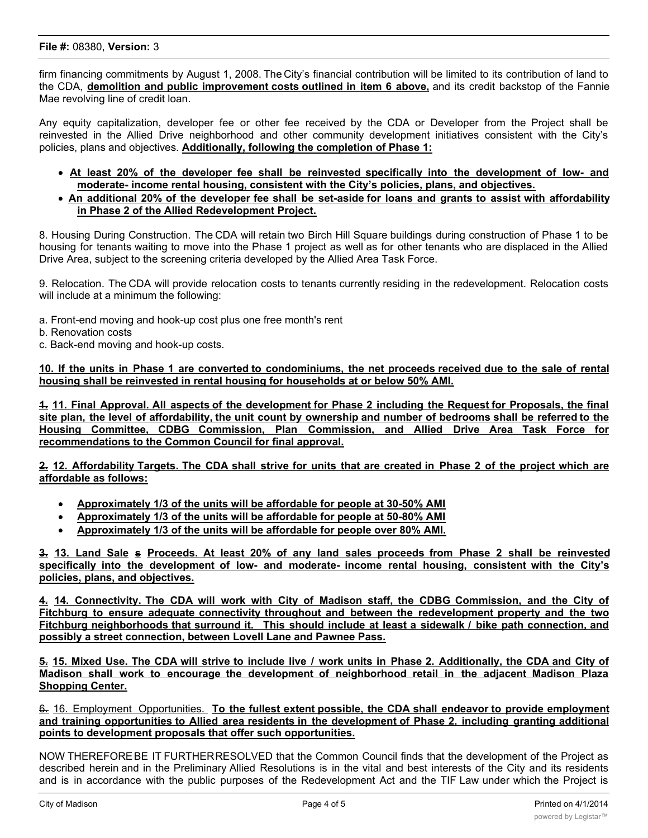#### **File #:** 08380, **Version:** 3

firm financing commitments by August 1, 2008. The City's financial contribution will be limited to its contribution of land to the CDA, **demolition and public improvement costs outlined in item 6 above,** and its credit backstop of the Fannie Mae revolving line of credit loan.

Any equity capitalization, developer fee or other fee received by the CDA or Developer from the Project shall be reinvested in the Allied Drive neighborhood and other community development initiatives consistent with the City's policies, plans and objectives. **Additionally, following the completion of Phase 1:**

- · **At least 20% of the developer fee shall be reinvested specifically into the development of low- and moderate- income rental housing, consistent with the City's policies, plans, and objectives.**
- An additional 20% of the developer fee shall be set-aside for loans and grants to assist with affordability **in Phase 2 of the Allied Redevelopment Project.**

8. Housing During Construction. The CDA will retain two Birch Hill Square buildings during construction of Phase 1 to be housing for tenants waiting to move into the Phase 1 project as well as for other tenants who are displaced in the Allied Drive Area, subject to the screening criteria developed by the Allied Area Task Force.

9. Relocation. The CDA will provide relocation costs to tenants currently residing in the redevelopment. Relocation costs will include at a minimum the following:

- a. Front-end moving and hook-up cost plus one free month's rent
- b. Renovation costs
- c. Back-end moving and hook-up costs.

10. If the units in Phase 1 are converted to condominiums, the net proceeds received due to the sale of rental **housing shall be reinvested in rental housing for households at or below 50% AMI.**

4. 11. Final Approval. All aspects of the development for Phase 2 including the Request for Proposals, the final site plan, the level of affordability, the unit count by ownership and number of bedrooms shall be referred to the **Housing Committee, CDBG Commission, Plan Commission, and Allied Drive Area Task Force for recommendations to the Common Council for final approval.**

2. 12. Affordability Targets. The CDA shall strive for units that are created in Phase 2 of the project which are **affordable as follows:**

- · **Approximately 1/3 of the units will be affordable for people at 30-50% AMI**
- · **Approximately 1/3 of the units will be affordable for people at 50-80% AMI**
- · **Approximately 1/3 of the units will be affordable for people over 80% AMI.**

3. 13. Land Sale s Proceeds. At least 20% of any land sales proceeds from Phase 2 shall be reinvested **specifically into the development of low- and moderate- income rental housing, consistent with the City's policies, plans, and objectives.**

4. 14. Connectivity. The CDA will work with City of Madison staff, the CDBG Commission, and the City of **Fitchburg to ensure adequate connectivity throughout and between the redevelopment property and the two** Fitchburg neighborhoods that surround it. This should include at least a sidewalk / bike path connection, and **possibly a street connection, between Lovell Lane and Pawnee Pass.**

5. 15. Mixed Use. The CDA will strive to include live / work units in Phase 2. Additionally, the CDA and City of **Madison shall work to encourage the development of neighborhood retail in the adjacent Madison Plaza Shopping Center.**

**6. 16. Employment Opportunities. To the fullest extent possible, the CDA shall endeavor to provide employment and training opportunities to Allied area residents in the development of Phase 2, including granting additional points to development proposals that offer such opportunities.**

NOW THEREFOREBE IT FURTHERRESOLVED that the Common Council finds that the development of the Project as described herein and in the Preliminary Allied Resolutions is in the vital and best interests of the City and its residents and is in accordance with the public purposes of the Redevelopment Act and the TIF Law under which the Project is